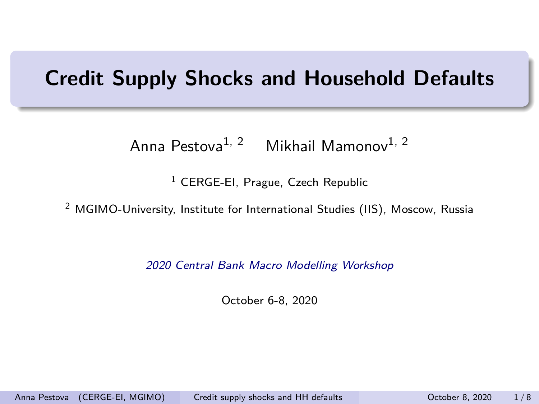## <span id="page-0-0"></span>**Credit Supply Shocks and Household Defaults**

Anna Pestova<sup>1, 2</sup> Mikhail Mamonov<sup>1, 2</sup>

 $<sup>1</sup>$  CERGE-EI, Prague, Czech Republic</sup>

<sup>2</sup> MGIMO-University, Institute for International Studies (IIS), Moscow, Russia

2020 Central Bank Macro Modelling Workshop

October 6-8, 2020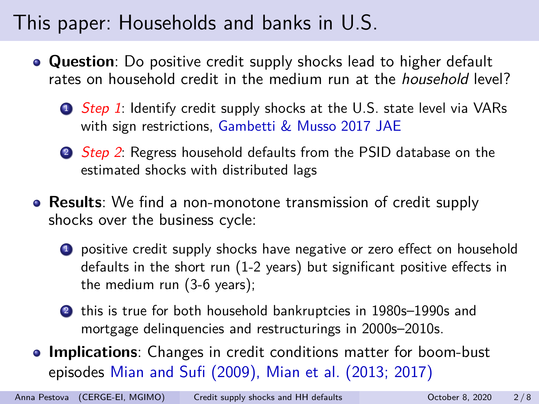# This paper: Households and banks in U.S.

- **Question**: Do positive credit supply shocks lead to higher default rates on household credit in the medium run at the household level?
	- **1** Step 1: Identify credit supply shocks at the U.S. state level via VARs with sign restrictions, Gambetti & Musso 2017 JAE
	- 2 Step 2: Regress household defaults from the PSID database on the estimated shocks with distributed lags
- **Results**: We find a non-monotone transmission of credit supply shocks over the business cycle:
	- **1** positive credit supply shocks have negative or zero effect on household defaults in the short run (1-2 years) but significant positive effects in the medium run (3-6 years);
	- **2** this is true for both household bankruptcies in 1980s–1990s and mortgage delinquencies and restructurings in 2000s–2010s.
- **Implications**: Changes in credit conditions matter for boom-bust episodes Mian and Sufi (2009), Mian et al. (2013; 2017)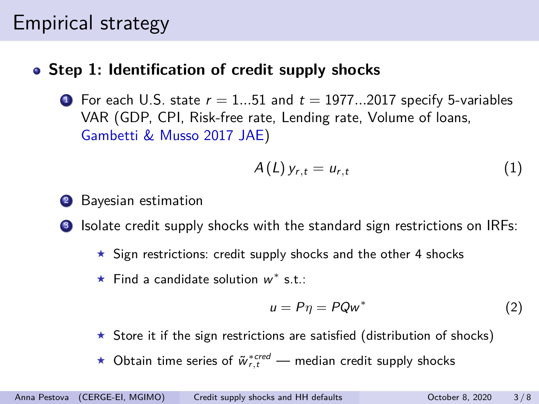## Empirical strategy

#### **Step 1: Identification of credit supply shocks**

**1** For each U.S. state  $r = 1...51$  and  $t = 1977...2017$  specify 5-variables VAR (GDP, CPI, Risk-free rate, Lending rate, Volume of loans, Gambetti & Musso 2017 JAE)

$$
A(L) y_{r,t} = u_{r,t} \tag{1}
$$

- Bayesian estimation
- Isolate credit supply shocks with the standard sign restrictions on IRFs:
	- $\star$  Sign restrictions: credit supply shocks and the other 4 shocks
	- **★** Find a candidate solution  $w^*$  s.t.:

$$
u = P\eta = PQw^*
$$
 (2)

- $\star$  Store it if the sign restrictions are satisfied (distribution of shocks)
- ★ Obtain time series of  $\tilde{w}^{*{\textit{cred}}}_{r,t}$  median credit supply shocks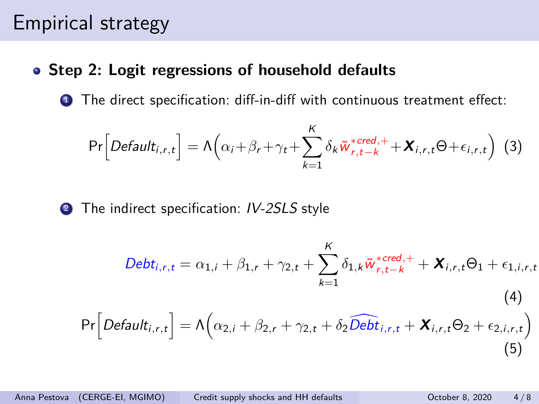## Empirical strategy

#### **Step 2: Logit regressions of household defaults**

**1** The direct specification: diff-in-diff with continuous treatment effect:

$$
\Pr\left[Default_{i,r,t}\right] = \Lambda\left(\alpha_i + \beta_r + \gamma_t + \sum_{k=1}^K \delta_k \tilde{w}_{r,t-k}^{*cred,+} + \boldsymbol{X}_{i,r,t} \Theta + \epsilon_{i,r,t}\right)
$$
(3)

<sup>2</sup> The indirect specification: IV-2SLS style

$$
Debt_{i,r,t} = \alpha_{1,i} + \beta_{1,r} + \gamma_{2,t} + \sum_{k=1}^{K} \delta_{1,k} \tilde{w}_{r,t-k}^{*,red,+} + \mathbf{X}_{i,r,t} \Theta_1 + \epsilon_{1,i,r,t}
$$
\n(4)\n
$$
Pr\left[Default_{i,r,t}\right] = \Lambda\left(\alpha_{2,i} + \beta_{2,r} + \gamma_{2,t} + \delta_2 \widehat{Debt}_{i,r,t} + \mathbf{X}_{i,r,t} \Theta_2 + \epsilon_{2,i,r,t}\right)
$$
\n(5)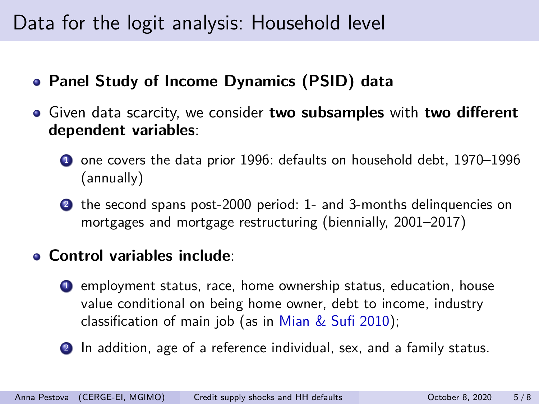# Data for the logit analysis: Household level

- **Panel Study of Income Dynamics (PSID) data**
- Given data scarcity, we consider **two subsamples** with **two different dependent variables**:
	- **1** one covers the data prior 1996: defaults on household debt, 1970–1996 (annually)
	- <sup>2</sup> the second spans post-2000 period: 1- and 3-months delinquencies on mortgages and mortgage restructuring (biennially, 2001–2017)

#### **Control variables include**:

- <sup>1</sup> employment status, race, home ownership status, education, house value conditional on being home owner, debt to income, industry classification of main job (as in Mian & Sufi 2010);
- 2 In addition, age of a reference individual, sex, and a family status.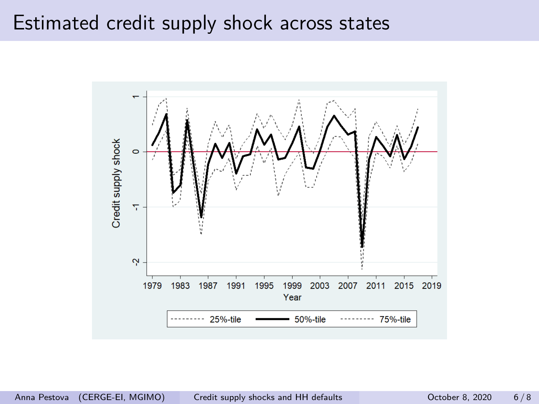### Estimated credit supply shock across states

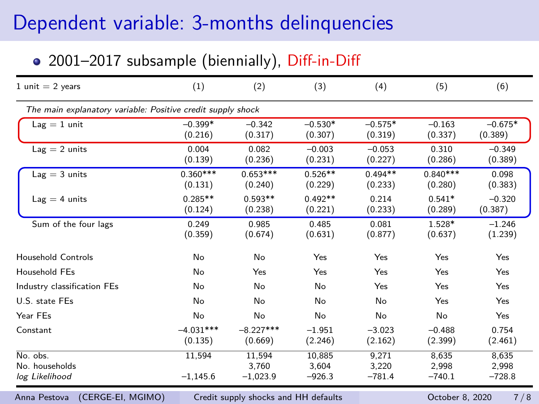## Dependent variable: 3-months delinquencies

#### • 2001–2017 subsample (biennially), Diff-in-Diff

| (1)                    | (2)                           | (3)                                                         | (4)                        | (5)                        | (6)                        |
|------------------------|-------------------------------|-------------------------------------------------------------|----------------------------|----------------------------|----------------------------|
|                        |                               |                                                             |                            |                            |                            |
| $-0.399*$<br>(0.216)   | $-0.342$<br>(0.317)           | $-0.530*$<br>(0.307)                                        | $-0.575*$<br>(0.319)       | $-0.163$<br>(0.337)        | $-0.675*$<br>(0.389)       |
| 0.004<br>(0.139)       | 0.082<br>(0.236)              | $-0.003$<br>(0.231)                                         | $-0.053$<br>(0.227)        | 0.310<br>(0.286)           | $-0.349$<br>(0.389)        |
| $0.360***$<br>(0.131)  | $0.653***$<br>(0.240)         | $0.526**$<br>(0.229)                                        | $0.494**$<br>(0.233)       | $0.840***$<br>(0.280)      | 0.098<br>(0.383)           |
| $0.285**$<br>(0.124)   | $0.593**$<br>(0.238)          | $0.492**$<br>(0.221)                                        | 0.214<br>(0.233)           | $0.541*$<br>(0.289)        | $-0.320$<br>(0.387)        |
| 0.249<br>(0.359)       | 0.985<br>(0.674)              | 0.485<br>(0.631)                                            | 0.081<br>(0.877)           | 1.528*<br>(0.637)          | $-1.246$<br>(1.239)        |
| No                     | No                            | Yes                                                         | Yes                        | Yes                        | Yes                        |
| No                     | Yes                           | Yes                                                         | Yes                        | Yes                        | Yes                        |
| No                     | No                            | No                                                          | Yes                        | Yes                        | Yes                        |
| No                     | No                            | No                                                          | No                         | Yes                        | Yes                        |
| No                     | No                            | No                                                          | No                         | No                         | Yes                        |
| $-4.031***$<br>(0.135) | $-8.227***$<br>(0.669)        | $-1.951$<br>(2.246)                                         | $-3.023$<br>(2.162)        | $-0.488$<br>(2.399)        | 0.754<br>(2.461)           |
| 11,594<br>$-1,145.6$   | 11,594<br>3.760<br>$-1,023.9$ | 10.885<br>3.604<br>$-926.3$                                 | 9.271<br>3.220<br>$-781.4$ | 8.635<br>2.998<br>$-740.1$ | 8,635<br>2,998<br>$-728.8$ |
|                        |                               | The main explanatory variable: Positive credit supply shock |                            |                            |                            |

Anna Pestova (CERGE-EI, MGIMO) [Credit supply shocks and HH defaults](#page-0-0) Correct Correct B, 2020 7/8